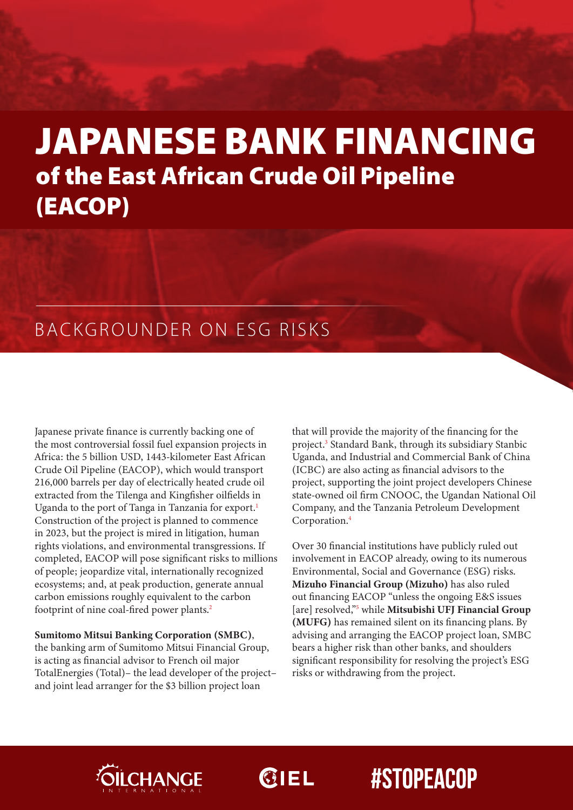# JAPANESE BANK FINANCING of the East African Crude Oil Pipeline (EACOP)

## BACKGROUNDER ON ESG RISKS

Japanese private finance is currently backing one of the most controversial fossil fuel expansion projects in Africa: the 5 billion USD, 1443-kilometer East African Crude Oil Pipeline (EACOP), which would transport 216,000 barrels per day of electrically heated crude oil extracted from the Tilenga and Kingfisher oilfields in Uganda to the port of Tanga in Tanzania for export.<sup>1</sup> Construction of the project is planned to commence in 2023, but the project is mired in litigation, human rights violations, and environmental transgressions. If completed, EACOP will pose significant risks to millions of people; jeopardize vital, internationally recognized ecosystems; and, at peak production, generate annual carbon emissions roughly equivalent to the carbon footprint of nine coal-fired power plants.2

Sumitomo Mitsui Banking Corporation (SMBC), the banking arm of Sumitomo Mitsui Financial Group, is acting as financial advisor to French oil major TotalEnergies (Total)– the lead developer of the project– and joint lead arranger for the \$3 billion project loan

that will provide the majority of the financing for the project.<sup>3</sup> Standard Bank, through its subsidiary Stanbic Uganda, and Industrial and Commercial Bank of China (ICBC) are also acting as financial advisors to the project, supporting the joint project developers Chinese state-owned oil firm CNOOC, the Ugandan National Oil Company, and the Tanzania Petroleum Development Corporation.4

Over 30 financial institutions have publicly ruled out involvement in EACOP already, owing to its numerous Environmental, Social and Governance (ESG) risks. Mizuho Financial Group (Mizuho) has also ruled out financing EACOP "unless the ongoing E&S issues [are] resolved,"<sup>5</sup> while Mitsubishi UFJ Financial Group (MUFG) has remained silent on its financing plans. By advising and arranging the EACOP project loan, SMBC bears a higher risk than other banks, and shoulders significant responsibility for resolving the project's ESG risks or withdrawing from the project.



 $Q$ IEL

## **#STOPEACOP**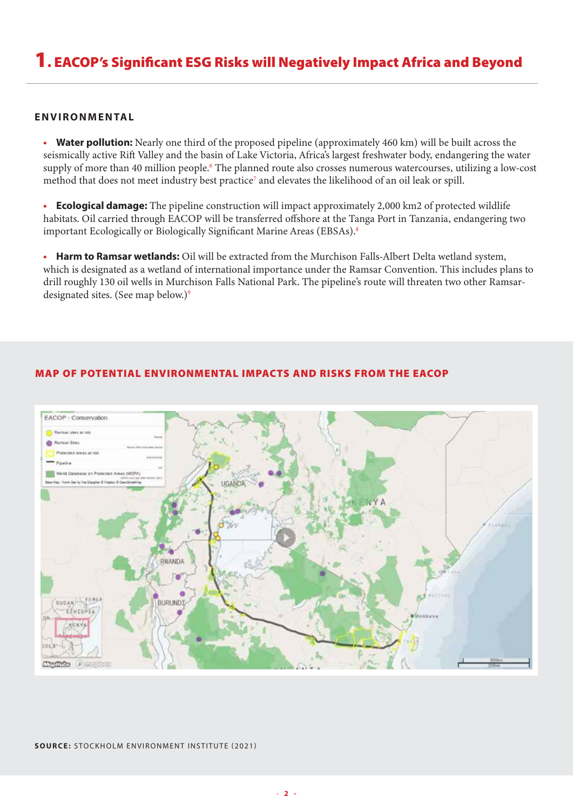## 1. EACOP's Significant ESG Risks will Negatively Impact Africa and Beyond

#### **ENVIRONMENTAL**

• Water pollution: Nearly one third of the proposed pipeline (approximately 460 km) will be built across the seismically active Rift Valley and the basin of Lake Victoria, Africa's largest freshwater body, endangering the water supply of more than 40 million people.<sup>6</sup> The planned route also crosses numerous watercourses, utilizing a low-cost method that does not meet industry best practice<sup>7</sup> and elevates the likelihood of an oil leak or spill.

• Ecological damage: The pipeline construction will impact approximately 2,000 km2 of protected wildlife habitats. Oil carried through EACOP will be transferred offshore at the Tanga Port in Tanzania, endangering two important Ecologically or Biologically Significant Marine Areas (EBSAs).<sup>8</sup>

• Harm to Ramsar wetlands: Oil will be extracted from the Murchison Falls-Albert Delta wetland system, which is designated as a wetland of international importance under the Ramsar Convention. This includes plans to drill roughly 130 oil wells in Murchison Falls National Park. The pipeline's route will threaten two other Ramsardesignated sites. (See map below.)<sup>9</sup>



#### MAP OF POTENTIAL ENVIRONMENTAL IMPACTS AND RISKS FROM THE EACOP

#### SOURCE: STOCKHOLM ENVIRONMENT INSTITUTE (2021)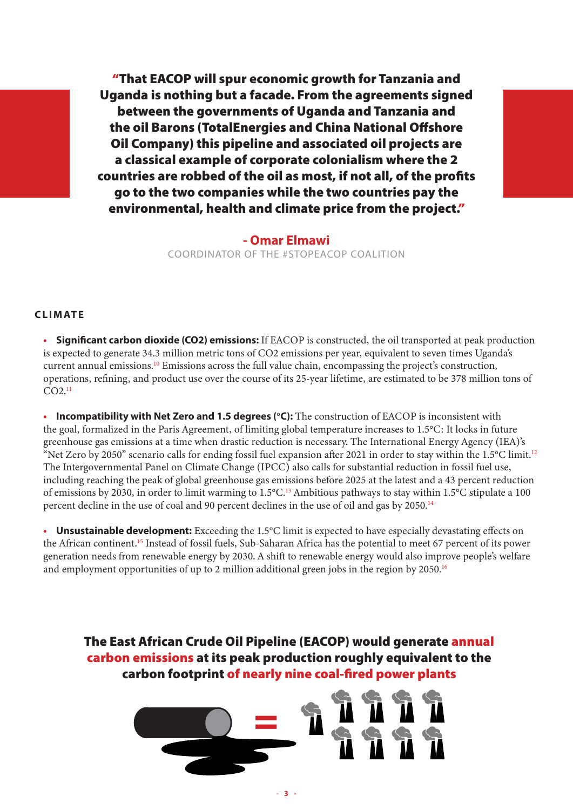"That EACOP will spur economic growth for Tanzania and Uganda is nothing but a facade. From the agreements signed between the governments of Uganda and Tanzania and the oil Barons (TotalEnergies and China National Offshore Oil Company) this pipeline and associated oil projects are a classical example of corporate colonialism where the 2 countries are robbed of the oil as most, if not all, of the profits go to the two companies while the two countries pay the environmental, health and climate price from the project."

> - Omar Elmawi COORDINATOR OF THE #STOPEACOP COALITION

#### CLIMATE

• Significant carbon dioxide (CO2) emissions: If EACOP is constructed, the oil transported at peak production is expected to generate 34.3 million metric tons of CO2 emissions per year, equivalent to seven times Uganda's current annual emissions.<sup>10</sup> Emissions across the full value chain, encompassing the project's construction, operations, refining, and product use over the course of its 25-year lifetime, are estimated to be 378 million tons of  $CO2.<sup>11</sup>$ 

• Incompatibility with Net Zero and 1.5 degrees ( $°C$ ): The construction of EACOP is inconsistent with the goal, formalized in the Paris Agreement, of limiting global temperature increases to 1.5°C: It locks in future greenhouse gas emissions at a time when drastic reduction is necessary. The International Energy Agency (IEA)'s "Net Zero by 2050" scenario calls for ending fossil fuel expansion after 2021 in order to stay within the 1.5°C limit.<sup>12</sup> The Intergovernmental Panel on Climate Change (IPCC) also calls for substantial reduction in fossil fuel use, including reaching the peak of global greenhouse gas emissions before 2025 at the latest and a 43 percent reduction of emissions by 2030, in order to limit warming to 1.5°C.13 Ambitious pathways to stay within 1.5°C stipulate a 100 percent decline in the use of coal and 90 percent declines in the use of oil and gas by 2050.<sup>14</sup>

• Unsustainable development: Exceeding the 1.5°C limit is expected to have especially devastating effects on the African continent.15 Instead of fossil fuels, Sub-Saharan Africa has the potential to meet 67 percent of its power generation needs from renewable energy by 2030. A shift to renewable energy would also improve people's welfare and employment opportunities of up to 2 million additional green jobs in the region by 2050.<sup>16</sup>

The East African Crude Oil Pipeline (EACOP) would generate annual carbon emissions at its peak production roughly equivalent to the carbon footprint of nearly nine coal-fired power plants

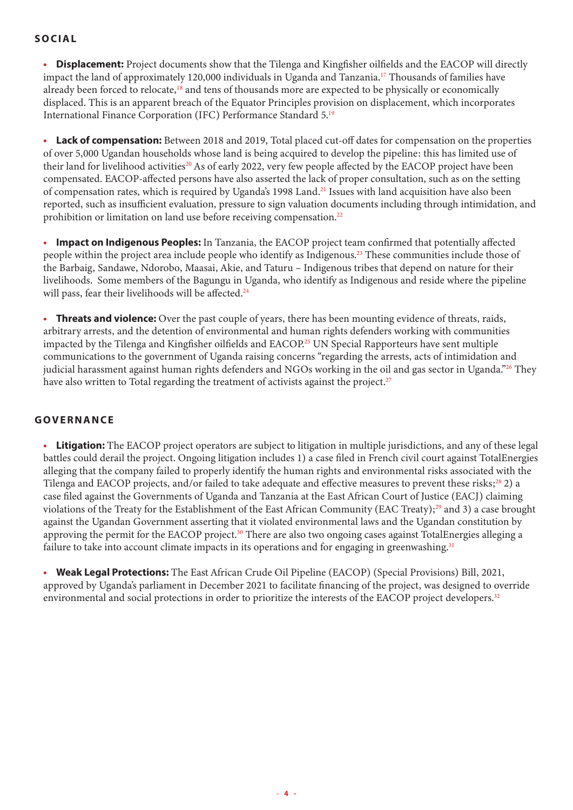### SOCIAL

• Displacement: Project documents show that the Tilenga and Kingfisher oilfields and the EACOP will directly impact the land of approximately 120,000 individuals in Uganda and Tanzania.17 Thousands of families have already been forced to relocate,<sup>18</sup> and tens of thousands more are expected to be physically or economically displaced. This is an apparent breach of the Equator Principles provision on displacement, which incorporates International Finance Corporation (IFC) Performance Standard 5.19

• Lack of compensation: Between 2018 and 2019, Total placed cut-off dates for compensation on the properties of over 5,000 Ugandan households whose land is being acquired to develop the pipeline: this has limited use of their land for livelihood activities<sup>20</sup> As of early 2022, very few people affected by the EACOP project have been compensated. EACOP-affected persons have also asserted the lack of proper consultation, such as on the setting of compensation rates, which is required by Uganda's 1998 Land.21 Issues with land acquisition have also been reported, such as insufficient evaluation, pressure to sign valuation documents including through intimidation, and prohibition or limitation on land use before receiving compensation.<sup>22</sup>

**Impact on Indigenous Peoples:** In Tanzania, the EACOP project team confirmed that potentially affected people within the project area include people who identify as Indigenous.23 These communities include those of the Barbaig, Sandawe, Ndorobo, Maasai, Akie, and Taturu – Indigenous tribes that depend on nature for their livelihoods. Some members of the Bagungu in Uganda, who identify as Indigenous and reside where the pipeline will pass, fear their livelihoods will be affected.<sup>24</sup>

• Threats and violence: Over the past couple of years, there has been mounting evidence of threats, raids, arbitrary arrests, and the detention of environmental and human rights defenders working with communities impacted by the Tilenga and Kingfisher oilfields and EACOP.25 UN Special Rapporteurs have sent multiple communications to the government of Uganda raising concerns "regarding the arrests, acts of intimidation and judicial harassment against human rights defenders and NGOs working in the oil and gas sector in Uganda."26 They have also written to Total regarding the treatment of activists against the project.<sup>27</sup>

### GOVERNANCE

**Litigation:** The EACOP project operators are subject to litigation in multiple jurisdictions, and any of these legal battles could derail the project. Ongoing litigation includes 1) a case filed in French civil court against TotalEnergies alleging that the company failed to properly identify the human rights and environmental risks associated with the Tilenga and EACOP projects, and/or failed to take adequate and effective measures to prevent these risks; $^{28}$  2) a case filed against the Governments of Uganda and Tanzania at the East African Court of Justice (EACJ) claiming violations of the Treaty for the Establishment of the East African Community (EAC Treaty);<sup>29</sup> and 3) a case brought against the Ugandan Government asserting that it violated environmental laws and the Ugandan constitution by approving the permit for the EACOP project.<sup>30</sup> There are also two ongoing cases against TotalEnergies alleging a failure to take into account climate impacts in its operations and for engaging in greenwashing.<sup>31</sup>

• Weak Legal Protections: The East African Crude Oil Pipeline (EACOP) (Special Provisions) Bill, 2021, approved by Uganda's parliament in December 2021 to facilitate financing of the project, was designed to override environmental and social protections in order to prioritize the interests of the EACOP project developers.32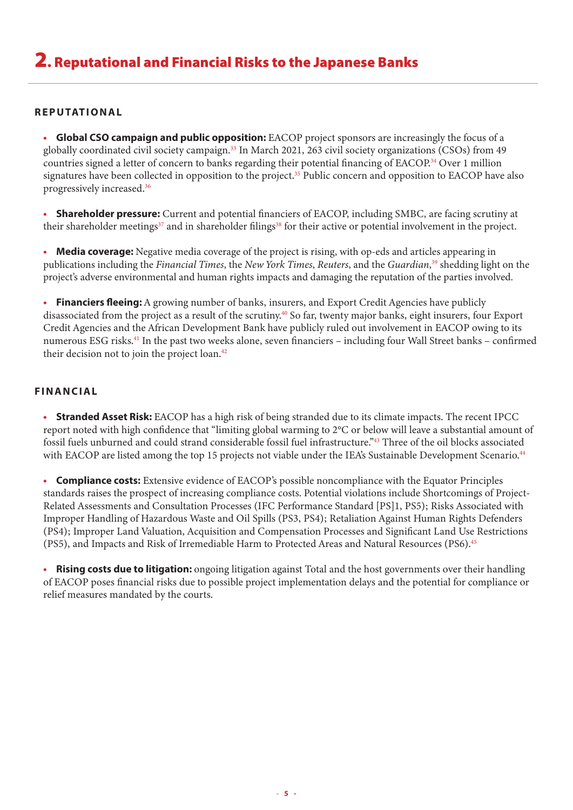#### **REPUTATIONAL**

**Global CSO campaign and public opposition:** EACOP project sponsors are increasingly the focus of a globally coordinated civil society campaign.<sup>33</sup> In March 2021, 263 civil society organizations (CSOs) from 49 countries signed a letter of concern to banks regarding their potential financing of EACOP.<sup>34</sup> Over 1 million signatures have been collected in opposition to the project.<sup>35</sup> Public concern and opposition to EACOP have also progressively increased.36

**Shareholder pressure:** Current and potential financiers of EACOP, including SMBC, are facing scrutiny at their shareholder meetings<sup>37</sup> and in shareholder filings<sup>38</sup> for their active or potential involvement in the project.

• Media coverage: Negative media coverage of the project is rising, with op-eds and articles appearing in publications including the *Financial Times*, the *New York Times*, *Reuters*, and the *Guardian*, <sup>39</sup> shedding light on the project's adverse environmental and human rights impacts and damaging the reputation of the parties involved.

• Financiers fleeing: A growing number of banks, insurers, and Export Credit Agencies have publicly disassociated from the project as a result of the scrutiny.40 So far, twenty major banks, eight insurers, four Export Credit Agencies and the African Development Bank have publicly ruled out involvement in EACOP owing to its numerous ESG risks.<sup>41</sup> In the past two weeks alone, seven financiers - including four Wall Street banks - confirmed their decision not to join the project  $\alpha$ <sub>42</sub>

### FINANCIAL

• Stranded Asset Risk: EACOP has a high risk of being stranded due to its climate impacts. The recent IPCC report noted with high confidence that "limiting global warming to 2°C or below will leave a substantial amount of fossil fuels unburned and could strand considerable fossil fuel infrastructure."43 Three of the oil blocks associated with EACOP are listed among the top 15 projects not viable under the IEA's Sustainable Development Scenario.<sup>44</sup>

• Compliance costs: Extensive evidence of EACOP's possible noncompliance with the Equator Principles standards raises the prospect of increasing compliance costs. Potential violations include Shortcomings of Project-Related Assessments and Consultation Processes (IFC Performance Standard [PS]1, PS5); Risks Associated with Improper Handling of Hazardous Waste and Oil Spills (PS3, PS4); Retaliation Against Human Rights Defenders (PS4); Improper Land Valuation, Acquisition and Compensation Processes and Significant Land Use Restrictions (PS5), and Impacts and Risk of Irremediable Harm to Protected Areas and Natural Resources (PS6).<sup>45</sup>

• Rising costs due to litigation: ongoing litigation against Total and the host governments over their handling of EACOP poses financial risks due to possible project implementation delays and the potential for compliance or relief measures mandated by the courts.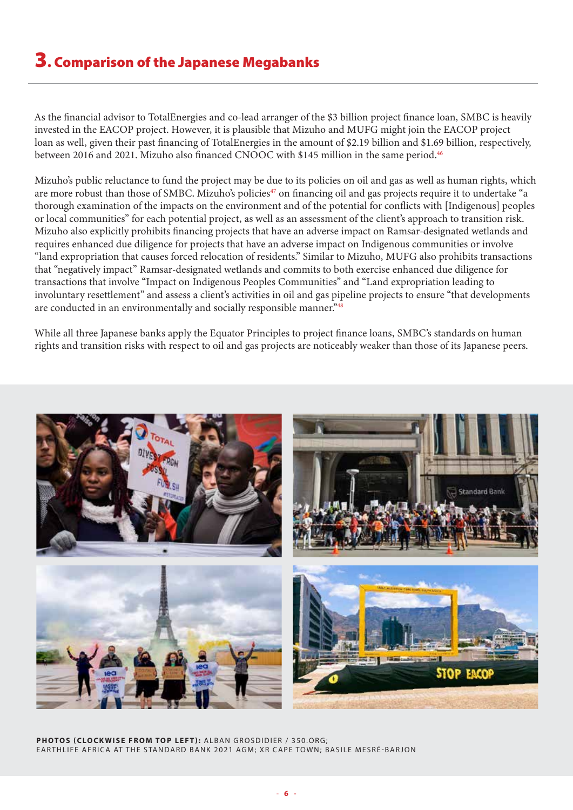## 3. Comparison of the Japanese Megabanks

As the financial advisor to TotalEnergies and co-lead arranger of the \$3 billion project finance loan, SMBC is heavily invested in the EACOP project. However, it is plausible that Mizuho and MUFG might join the EACOP project loan as well, given their past financing of TotalEnergies in the amount of \$2.19 billion and \$1.69 billion, respectively, between 2016 and 2021. Mizuho also financed CNOOC with \$145 million in the same period.<sup>46</sup>

Mizuho's public reluctance to fund the project may be due to its policies on oil and gas as well as human rights, which are more robust than those of SMBC. Mizuho's policies<sup>47</sup> on financing oil and gas projects require it to undertake "a thorough examination of the impacts on the environment and of the potential for conflicts with [Indigenous] peoples or local communities" for each potential project, as well as an assessment of the client's approach to transition risk. Mizuho also explicitly prohibits financing projects that have an adverse impact on Ramsar-designated wetlands and requires enhanced due diligence for projects that have an adverse impact on Indigenous communities or involve "land expropriation that causes forced relocation of residents." Similar to Mizuho, MUFG also prohibits transactions that "negatively impact" Ramsar-designated wetlands and commits to both exercise enhanced due diligence for transactions that involve "Impact on Indigenous Peoples Communities" and "Land expropriation leading to involuntary resettlement" and assess a client's activities in oil and gas pipeline projects to ensure "that developments are conducted in an environmentally and socially responsible manner."48

While all three Japanese banks apply the Equator Principles to project finance loans, SMBC's standards on human rights and transition risks with respect to oil and gas projects are noticeably weaker than those of its Japanese peers.



PHOTOS (CLOCKWISE FROM TOP LEFT): ALBAN GROSDIDIER / 350.ORG; EARTHLIFE AFRICA AT THE STANDARD BANK 2021 AGM; XR CAPE TOWN; BASILE MESRÉ-BARJON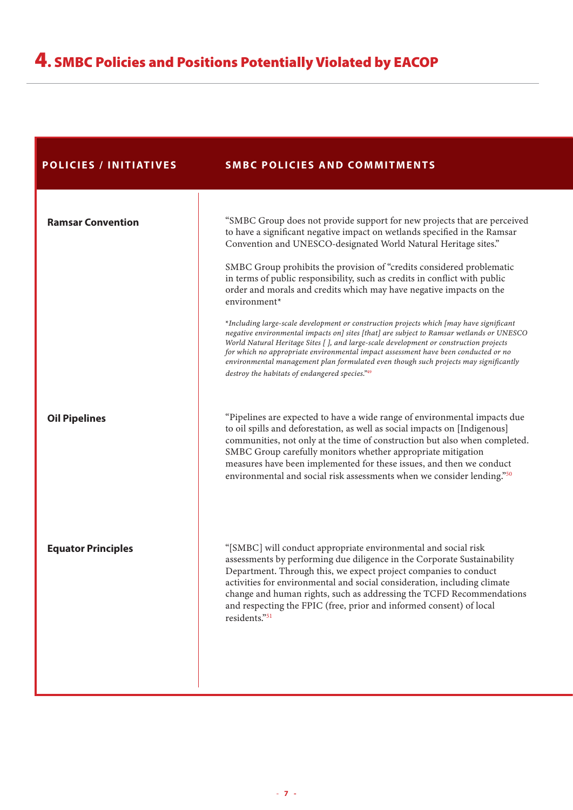| <b>POLICIES / INITIATIVES</b> | <b>SMBC POLICIES AND COMMITMENTS</b>                                                                                                                                                                                                                                                                                                                                                                                                                                                                                                                                                                                                                                                                                                                                                                                                                                                                                                                                                    |
|-------------------------------|-----------------------------------------------------------------------------------------------------------------------------------------------------------------------------------------------------------------------------------------------------------------------------------------------------------------------------------------------------------------------------------------------------------------------------------------------------------------------------------------------------------------------------------------------------------------------------------------------------------------------------------------------------------------------------------------------------------------------------------------------------------------------------------------------------------------------------------------------------------------------------------------------------------------------------------------------------------------------------------------|
| <b>Ramsar Convention</b>      | "SMBC Group does not provide support for new projects that are perceived<br>to have a significant negative impact on wetlands specified in the Ramsar<br>Convention and UNESCO-designated World Natural Heritage sites."<br>SMBC Group prohibits the provision of "credits considered problematic<br>in terms of public responsibility, such as credits in conflict with public<br>order and morals and credits which may have negative impacts on the<br>environment*<br>*Including large-scale development or construction projects which [may have significant<br>negative environmental impacts on] sites [that] are subject to Ramsar wetlands or UNESCO<br>World Natural Heritage Sites [ ], and large-scale development or construction projects<br>for which no appropriate environmental impact assessment have been conducted or no<br>environmental management plan formulated even though such projects may significantly<br>destroy the habitats of endangered species."49 |
| <b>Oil Pipelines</b>          | "Pipelines are expected to have a wide range of environmental impacts due<br>to oil spills and deforestation, as well as social impacts on [Indigenous]<br>communities, not only at the time of construction but also when completed.<br>SMBC Group carefully monitors whether appropriate mitigation<br>measures have been implemented for these issues, and then we conduct<br>environmental and social risk assessments when we consider lending."50                                                                                                                                                                                                                                                                                                                                                                                                                                                                                                                                 |
| <b>Equator Principles</b>     | "[SMBC] will conduct appropriate environmental and social risk<br>assessments by performing due diligence in the Corporate Sustainability<br>Department. Through this, we expect project companies to conduct<br>activities for environmental and social consideration, including climate<br>change and human rights, such as addressing the TCFD Recommendations<br>and respecting the FPIC (free, prior and informed consent) of local<br>residents."51                                                                                                                                                                                                                                                                                                                                                                                                                                                                                                                               |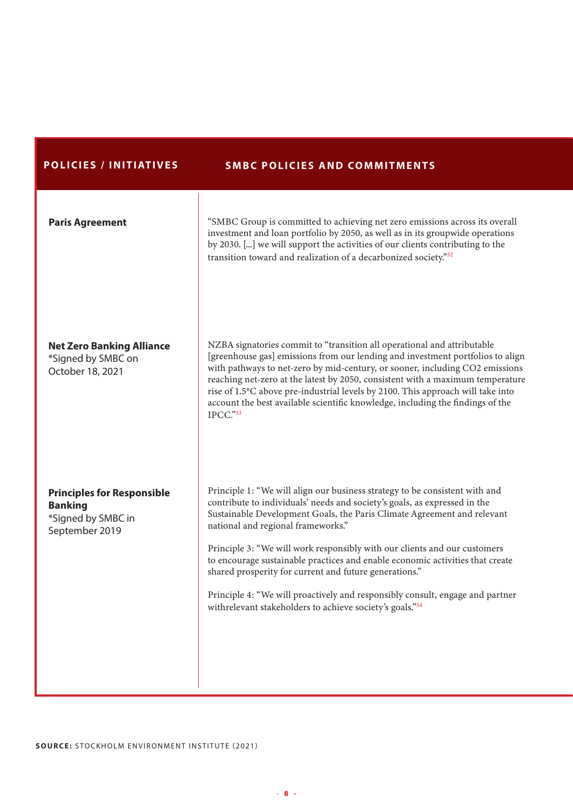### POLICIES / INITIATIVES SMBC POLICIES AND COMMITMENTS

| <b>Paris Agreement</b>                                                                      | "SMBC Group is committed to achieving net zero emissions across its overall<br>investment and loan portfolio by 2050, as well as in its groupwide operations<br>by 2030. [] we will support the activities of our clients contributing to the<br>transition toward and realization of a decarbonized society."52                                                                                                                                                                                                                                                                                                                               |
|---------------------------------------------------------------------------------------------|------------------------------------------------------------------------------------------------------------------------------------------------------------------------------------------------------------------------------------------------------------------------------------------------------------------------------------------------------------------------------------------------------------------------------------------------------------------------------------------------------------------------------------------------------------------------------------------------------------------------------------------------|
| <b>Net Zero Banking Alliance</b><br>*Signed by SMBC on<br>October 18, 2021                  | NZBA signatories commit to "transition all operational and attributable<br>[greenhouse gas] emissions from our lending and investment portfolios to align<br>with pathways to net-zero by mid-century, or sooner, including CO2 emissions<br>reaching net-zero at the latest by 2050, consistent with a maximum temperature<br>rise of 1.5°C above pre-industrial levels by 2100. This approach will take into<br>account the best available scientific knowledge, including the findings of the<br>IPCC." 53                                                                                                                                  |
| <b>Principles for Responsible</b><br><b>Banking</b><br>*Signed by SMBC in<br>September 2019 | Principle 1: "We will align our business strategy to be consistent with and<br>contribute to individuals' needs and society's goals, as expressed in the<br>Sustainable Development Goals, the Paris Climate Agreement and relevant<br>national and regional frameworks."<br>Principle 3: "We will work responsibly with our clients and our customers<br>to encourage sustainable practices and enable economic activities that create<br>shared prosperity for current and future generations."<br>Principle 4: "We will proactively and responsibly consult, engage and partner<br>withrelevant stakeholders to achieve society's goals."54 |

SOURCE: STOCKHOLM ENVIRONMENT INSTITUTE (2021)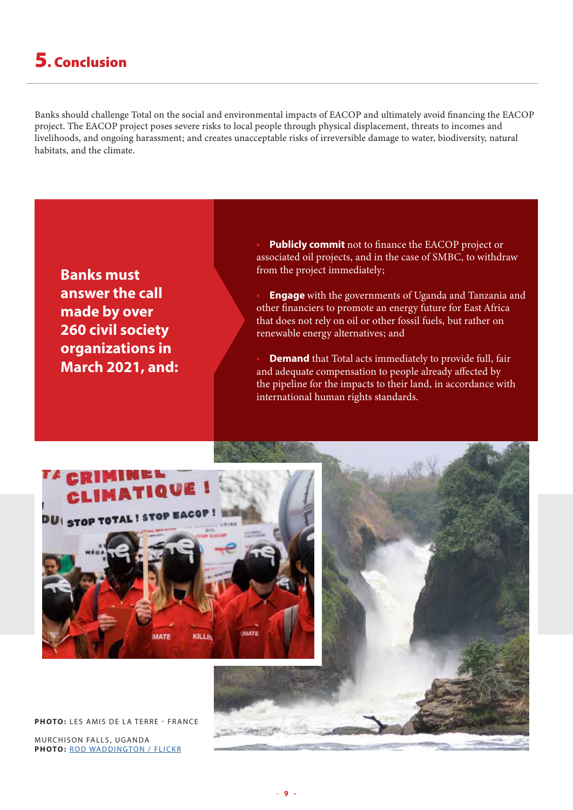## 5. Conclusion

Banks should challenge Total on the social and environmental impacts of EACOP and ultimately avoid financing the EACOP project. The EACOP project poses severe risks to local people through physical displacement, threats to incomes and livelihoods, and ongoing harassment; and creates unacceptable risks of irreversible damage to water, biodiversity, natural habitats, and the climate.



Publicly commit not to finance the EACOP project or associated oil projects, and in the case of SMBC, to withdraw from the project immediately;

**Engage** with the governments of Uganda and Tanzania and other financiers to promote an energy future for East Africa that does not rely on oil or other fossil fuels, but rather on renewable energy alternatives; and

**Demand** that Total acts immediately to provide full, fair and adequate compensation to people already affected by the pipeline for the impacts to their land, in accordance with international human rights standards.



PHOTO: LES AMIS DE LA TERRE - FRANCE

MURCHISON FALLS, UGANDA PHOTO: [ROD WADDINGTON / FLICKR](https://www.flickr.com/photos/rod_waddington/23475021234/)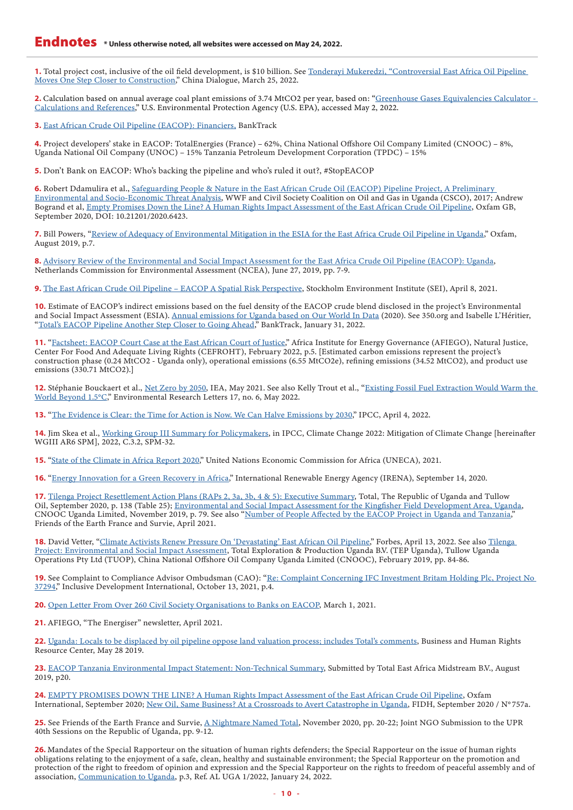1. Total project cost, inclusive of the oil field development, is \$10 billion. See Tonderayi Mukeredzi, "Controversial East Africa Oil Pipeline [Moves One Step Closer to Construction](https://chinadialogue.net/en/author/tonderayi-mukeredzi/)," China Dialogue, March 25, 2022.

2. Calculation based on annual average coal plant emissions of 3.74 MtCO2 per year, based on: "Greenhouse Gases Equivalencies Calculator -[Calculations and References](https://www.epa.gov/energy/greenhouse-gases-equivalencies-calculator-calculations-and-references)," U.S. Environmental Protection Agency (U.S. EPA), accessed May 2, 2022.

3. [East African Crude Oil Pipeline \(EACOP\): Financiers](https://www.banktrack.org/project/east_african_crude_oil_pipeline#financiers), BankTrack

4. Project developers' stake in EACOP: TotalEnergies (France) – 62%, China National Offshore Oil Company Limited (CNOOC) – 8%, Uganda National Oil Company (UNOC) – 15% Tanzania Petroleum Development Corporation (TPDC) – 15%

5. Don't Bank on EACOP: Who's backing the pipeline and who's ruled it out?, #StopEACOP

6. Robert Ddamulira et al., [Safeguarding People & Nature in the East African Crude Oil \(EACOP\) Pipeline Project, A Preliminary](https://media.wwf.no/assets/attachments/99-safeguarding_nature_and_people___oil_and_gas_pipeline_factsheet.pdf)  [Environmental and Socio-Economic Threat Analysis,](https://media.wwf.no/assets/attachments/99-safeguarding_nature_and_people___oil_and_gas_pipeline_factsheet.pdf) WWF and Civil Society Coalition on Oil and Gas in Uganda (CSCO), 2017; Andrew Bogrand et al, [Empty Promises Down the Line? A Human Rights Impact Assessment of the East African Crude Oil Pipeline](https://policy-practice.oxfam.org/resources/empty-promises-down-the-line-a-human-rights-impact-assessment-of-the-east-afric-621045/), Oxfam GB, September 2020, DOI: 10.21201/2020.6423.

7. Bill Powers, "[Review of Adequacy of Environmental Mitigation in the ESIA for the East Africa Crude Oil Pipeline in Uganda,](https://cng-cdn.oxfam.org/uganda.oxfam.org/s3fs-public/file_attachments/Oxfam%20EACOP%20ESIA%20Review-Adequacy%20of%20Mitigation_0.pdf)" Oxfam, August 2019, p.7.

8. [Advisory Review of the Environmental and Social Impact Assessment for the East Africa Crude Oil Pipeline \(EACOP\): Uganda](https://www.eia.nl/docs/os/i72/i7228/7228_advisory_report_eacop_uganda_27_june_2019.pdf), Netherlands Commission for Environmental Assessment (NCEA), June 27, 2019, pp. 7-9.

9. [The East African Crude Oil Pipeline – EACOP A Spatial Risk Perspective,](https://mapforenvironment.org/story/The-East-African-Crude-Oil-Pipiline-EACOP-a-spatial-risk-perspective/111) Stockholm Environment Institute (SEI), April 8, 2021.

10. Estimate of EACOP's indirect emissions based on the fuel density of the EACOP crude blend disclosed in the project's Environmental and Social Impact Assessment (ESIA). [Annual emissions for Uganda based on Our World In Data](https://ourworldindata.org/co2-emissions) (2020). See 350.org and Isabelle L'Héritier, "[Total's EACOP Pipeline Another Step Closer to Going Ahead,](https://www.banktrack.org/blog/total_s_eacop_pipeline_another_step_closer_to_going_ahead)" BankTrack, January 31, 2022.

11. "[Factsheet: EACOP Court Case at the East African Court of Justice](https://www.afiego.org/download/factsheeet-eacop-case-at-the-east-african-court-of-justice-february-2022/?wpdmdl=2718&refresh=621e08a2a31b21646135458)," Africa Institute for Energy Governance (AFIEGO), Natural Justice, Center For Food And Adequate Living Rights (CEFROHT), February 2022, p.5. [Estimated carbon emissions represent the project's construction phase (0.24 MtCO2 - Uganda only), operational emissions (6.55 MtCO2e), refining emissions (34.52 MtCO2), and product use emissions (330.71 MtCO2).]

12. Stéphanie Bouckaert et al., [Net Zero by 2050](https://www.iea.org/reports/net-zero-by-2050), IEA, May 2021. See also Kelly Trout et al., "Existing Fossil Fuel Extraction Would Warm the [World Beyond 1.5°C](https://iopscience.iop.org/article/10.1088/1748-9326/ac6228)," Environmental Research Letters 17, no. 6, May 2022.

13. "[The Evidence is Clear: the Time for Action is Now. We Can Halve Emissions by 2030](https://www.ipcc.ch/2022/04/04/ipcc-ar6-wgiii-pressrelease/)," IPCC, April 4, 2022.

14. Jim Skea et al., [Working Group III Summary for Policymakers](https://www.ipcc.ch/report/sixth-assessment-report-working-group-3/), in IPCC, Climate Change 2022: Mitigation of Climate Change [hereinafter WGIII AR6 SPM], 2022, C.3.2, SPM-32.

15. "[State of the Climate in Africa Report 2020](https://uneca.org/stories/state-of-climate-in-africa-report-2020)," United Nations Economic Commission for Africa (UNECA), 2021.

16. "[Energy Innovation for a Green Recovery in Africa,](https://www.irena.org/newsroom/articles/2020/Sep/Energy-Innovation-for-a-Green-Recovery-in-Africa)" International Renewable Energy Agency (IRENA), September 14, 2020.

17. [Tilenga Project Resettlement Action Plans \(RAPs 2, 3a, 3b, 4 & 5\): Executive Summary](https://www.amisdelaterre.org/wp-content/uploads/2020/10/raps-2-5-tilenga-executive-summary-atacama-2020-sep-en.pdf), Total, The Republic of Uganda and Tullow Oil, September 2020, p. 138 (Table 25); [Environmental and Social Impact Assessment for the Kingfisher Field Development Area, Uganda](https://www.eia.nl/projectdocumenten/00006431.pdf), CNOOC Uganda Limited, November 2019, p. 79. See also ["Number of People Affected by the EACOP Project in Uganda and Tanzania,](https://www.amisdelaterre.org/wp-content/uploads/2021/04/20210407-numbers-of-individual-persons-affected-by-eacop.pdf)" Friends of the Earth France and Survie, April 2021.

18. David Vetter, "[Climate Activists Renew Pressure On 'Devastating' East African Oil Pipeline](https://www.forbes.com/sites/davidrvetter/2022/04/13/climate-activists-renew-pressure-on-devastating-east-african-oil-pipeline)," Forbes, April 13, 2022. See also Tilenga [Project: Environmental and Social Impact Assessment](https://corporate.totalenergies.ug/tilenga-project-environmental-and-social-impact-assessment-report), Total Exploration & Production Uganda B.V. (TEP Uganda), Tullow Uganda Operations Pty Ltd (TUOP), China National Offshore Oil Company Uganda Limited (CNOOC), February 2019, pp. 84-86.

19. See Complaint to Compliance Advisor Ombudsman (CAO): "Re: Complaint Concerning IFC Investment Britam Holding Plc, Project No [37294,](https://www.inclusivedevelopment.net/wp-content/uploads/2021/10/EACOP-Complaint-October-2021-redacted.pdf)" Inclusive Development International, October 13, 2021, p.4.

20. [Open Letter From Over 260 Civil Society Organisations to Banks on EACOP,](https://www.banktrack.org/download/open_letter_from_over_260_civil_society_organisations_to_banks_on_eacop) March 1, 2021.

21. AFIEGO, "The Energiser" newsletter, April 2021.

22. [Uganda: Locals to be displaced by oil pipeline oppose land valuation process; includes Total's comments](https://www.business-humanrights.org/en/latest-news/uganda-locals-to-be-displaced-by-oil-pipeline-oppose-land-valuation-process-includes-totals-comments/), Business and Human Rights Resource Center, May 28 2019.

23. [EACOP Tanzania Environmental Impact Statement: Non-Technical Summary](https://eacop.com/publication/view/eacop-tanzania-esia-non-technical-summary/), Submitted by Total East Africa Midstream B.V., August 2019, p20.

24. [EMPTY PROMISES DOWN THE LINE? A Human Rights Impact Assessment of the East African Crude Oil Pipeline](https://oxfamilibrary.openrepository.com/bitstream/handle/10546/621045/rr-empty-promises-down-line-101020-en.pdf), Oxfam International, September 2020; [New Oil, Same Business? At a Crossroads to Avert Catastrophe in Uganda,](https://www.fidh.org/IMG/pdf/fidh__fhri_report_uganda_oil_extraction-compresse.pdf) FIDH, September 2020 / N°757a.

25. See Friends of the Earth France and Survie, [A Nightmare Named Total](https://www.amisdelaterre.org/publication/a-nightmare-named-total/), November 2020, pp. 20-22; Joint NGO Submission to the UPR 40th Sessions on the Republic of Uganda, pp. 9-12.

26. Mandates of the Special Rapporteur on the situation of human rights defenders; the Special Rapporteur on the issue of human rights obligations relating to the enjoyment of a safe, clean, healthy and sustainable environment; the Special Rapporteur on the promotion and protection of the right to freedom of opinion and expression and the Special Rapporteur on the rights to freedom of peaceful assembly and of association, [Communication to Uganda,](https://spcommreports.ohchr.org/TMResultsBase/DownLoadPublicCommunicationFile?gId=26953) p.3, Ref. AL UGA 1/2022, January 24, 2022.